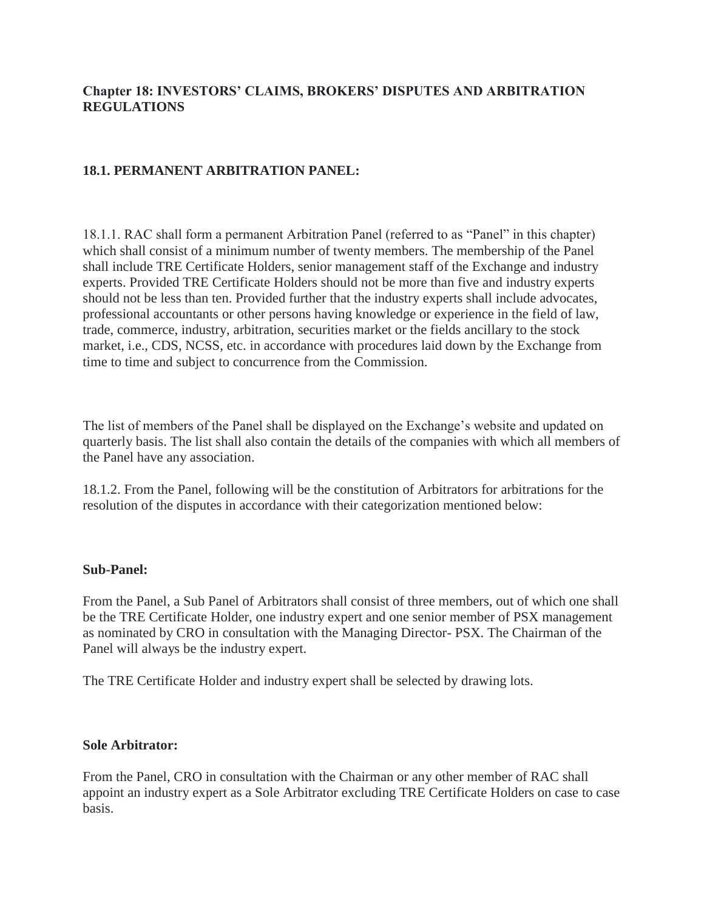# **Chapter 18: INVESTORS' CLAIMS, BROKERS' DISPUTES AND ARBITRATION REGULATIONS**

### **18.1. PERMANENT ARBITRATION PANEL:**

18.1.1. RAC shall form a permanent Arbitration Panel (referred to as "Panel" in this chapter) which shall consist of a minimum number of twenty members. The membership of the Panel shall include TRE Certificate Holders, senior management staff of the Exchange and industry experts. Provided TRE Certificate Holders should not be more than five and industry experts should not be less than ten. Provided further that the industry experts shall include advocates, professional accountants or other persons having knowledge or experience in the field of law, trade, commerce, industry, arbitration, securities market or the fields ancillary to the stock market, i.e., CDS, NCSS, etc. in accordance with procedures laid down by the Exchange from time to time and subject to concurrence from the Commission.

The list of members of the Panel shall be displayed on the Exchange's website and updated on quarterly basis. The list shall also contain the details of the companies with which all members of the Panel have any association.

18.1.2. From the Panel, following will be the constitution of Arbitrators for arbitrations for the resolution of the disputes in accordance with their categorization mentioned below:

#### **Sub-Panel:**

From the Panel, a Sub Panel of Arbitrators shall consist of three members, out of which one shall be the TRE Certificate Holder, one industry expert and one senior member of PSX management as nominated by CRO in consultation with the Managing Director- PSX. The Chairman of the Panel will always be the industry expert.

The TRE Certificate Holder and industry expert shall be selected by drawing lots.

#### **Sole Arbitrator:**

From the Panel, CRO in consultation with the Chairman or any other member of RAC shall appoint an industry expert as a Sole Arbitrator excluding TRE Certificate Holders on case to case basis.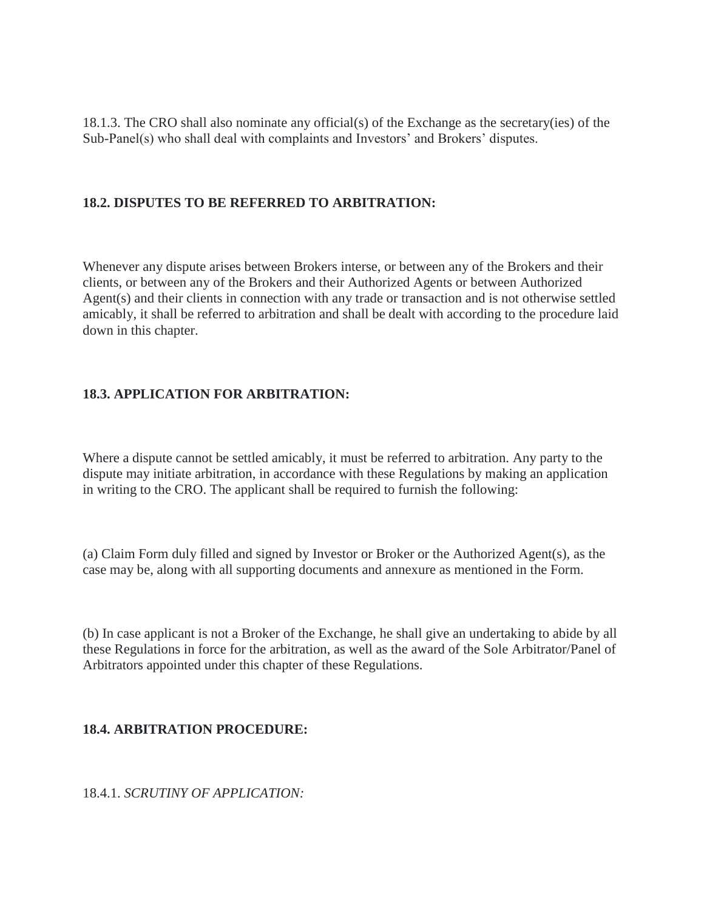18.1.3. The CRO shall also nominate any official(s) of the Exchange as the secretary(ies) of the Sub-Panel(s) who shall deal with complaints and Investors' and Brokers' disputes.

#### **18.2. DISPUTES TO BE REFERRED TO ARBITRATION:**

Whenever any dispute arises between Brokers interse, or between any of the Brokers and their clients, or between any of the Brokers and their Authorized Agents or between Authorized Agent(s) and their clients in connection with any trade or transaction and is not otherwise settled amicably, it shall be referred to arbitration and shall be dealt with according to the procedure laid down in this chapter.

#### **18.3. APPLICATION FOR ARBITRATION:**

Where a dispute cannot be settled amicably, it must be referred to arbitration. Any party to the dispute may initiate arbitration, in accordance with these Regulations by making an application in writing to the CRO. The applicant shall be required to furnish the following:

(a) Claim Form duly filled and signed by Investor or Broker or the Authorized Agent(s), as the case may be, along with all supporting documents and annexure as mentioned in the Form.

(b) In case applicant is not a Broker of the Exchange, he shall give an undertaking to abide by all these Regulations in force for the arbitration, as well as the award of the Sole Arbitrator/Panel of Arbitrators appointed under this chapter of these Regulations.

#### **18.4. ARBITRATION PROCEDURE:**

18.4.1. *SCRUTINY OF APPLICATION:*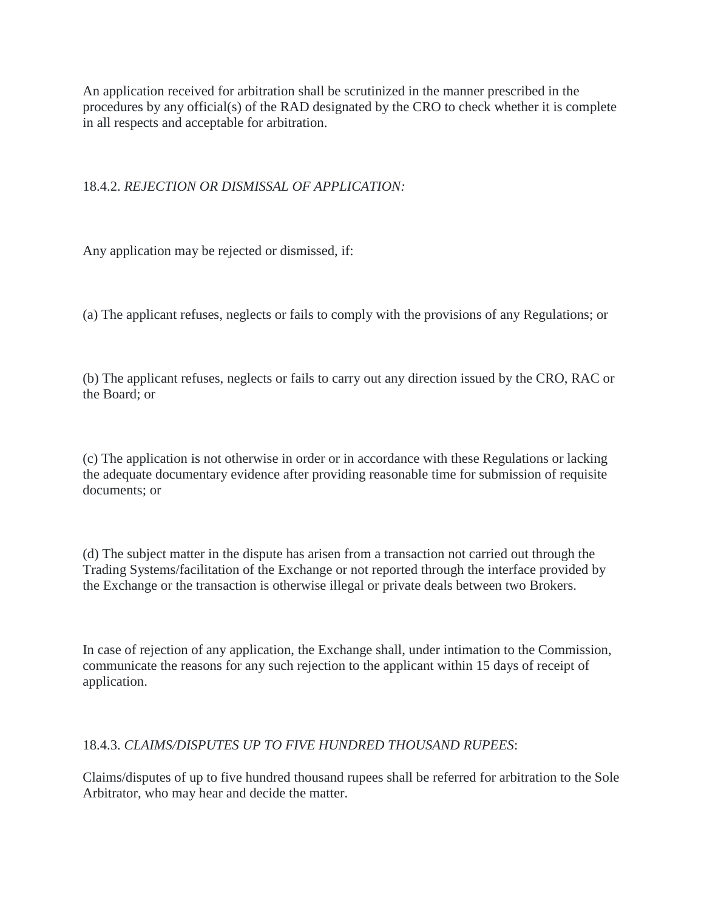An application received for arbitration shall be scrutinized in the manner prescribed in the procedures by any official(s) of the RAD designated by the CRO to check whether it is complete in all respects and acceptable for arbitration.

# 18.4.2. *REJECTION OR DISMISSAL OF APPLICATION:*

Any application may be rejected or dismissed, if:

(a) The applicant refuses, neglects or fails to comply with the provisions of any Regulations; or

(b) The applicant refuses, neglects or fails to carry out any direction issued by the CRO, RAC or the Board; or

(c) The application is not otherwise in order or in accordance with these Regulations or lacking the adequate documentary evidence after providing reasonable time for submission of requisite documents; or

(d) The subject matter in the dispute has arisen from a transaction not carried out through the Trading Systems/facilitation of the Exchange or not reported through the interface provided by the Exchange or the transaction is otherwise illegal or private deals between two Brokers.

In case of rejection of any application, the Exchange shall, under intimation to the Commission, communicate the reasons for any such rejection to the applicant within 15 days of receipt of application.

# 18.4.3. *CLAIMS/DISPUTES UP TO FIVE HUNDRED THOUSAND RUPEES*:

Claims/disputes of up to five hundred thousand rupees shall be referred for arbitration to the Sole Arbitrator, who may hear and decide the matter.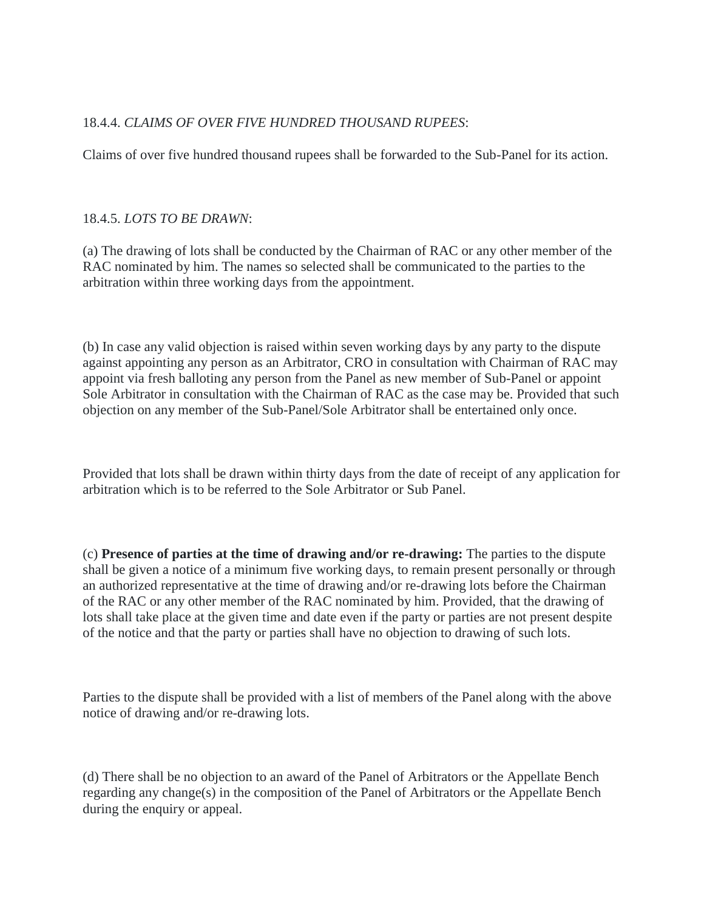# 18.4.4. *CLAIMS OF OVER FIVE HUNDRED THOUSAND RUPEES*:

Claims of over five hundred thousand rupees shall be forwarded to the Sub-Panel for its action.

#### 18.4.5. *LOTS TO BE DRAWN*:

(a) The drawing of lots shall be conducted by the Chairman of RAC or any other member of the RAC nominated by him. The names so selected shall be communicated to the parties to the arbitration within three working days from the appointment.

(b) In case any valid objection is raised within seven working days by any party to the dispute against appointing any person as an Arbitrator, CRO in consultation with Chairman of RAC may appoint via fresh balloting any person from the Panel as new member of Sub-Panel or appoint Sole Arbitrator in consultation with the Chairman of RAC as the case may be. Provided that such objection on any member of the Sub-Panel/Sole Arbitrator shall be entertained only once.

Provided that lots shall be drawn within thirty days from the date of receipt of any application for arbitration which is to be referred to the Sole Arbitrator or Sub Panel.

(c) **Presence of parties at the time of drawing and/or re-drawing:** The parties to the dispute shall be given a notice of a minimum five working days, to remain present personally or through an authorized representative at the time of drawing and/or re-drawing lots before the Chairman of the RAC or any other member of the RAC nominated by him. Provided, that the drawing of lots shall take place at the given time and date even if the party or parties are not present despite of the notice and that the party or parties shall have no objection to drawing of such lots.

Parties to the dispute shall be provided with a list of members of the Panel along with the above notice of drawing and/or re-drawing lots.

(d) There shall be no objection to an award of the Panel of Arbitrators or the Appellate Bench regarding any change(s) in the composition of the Panel of Arbitrators or the Appellate Bench during the enquiry or appeal.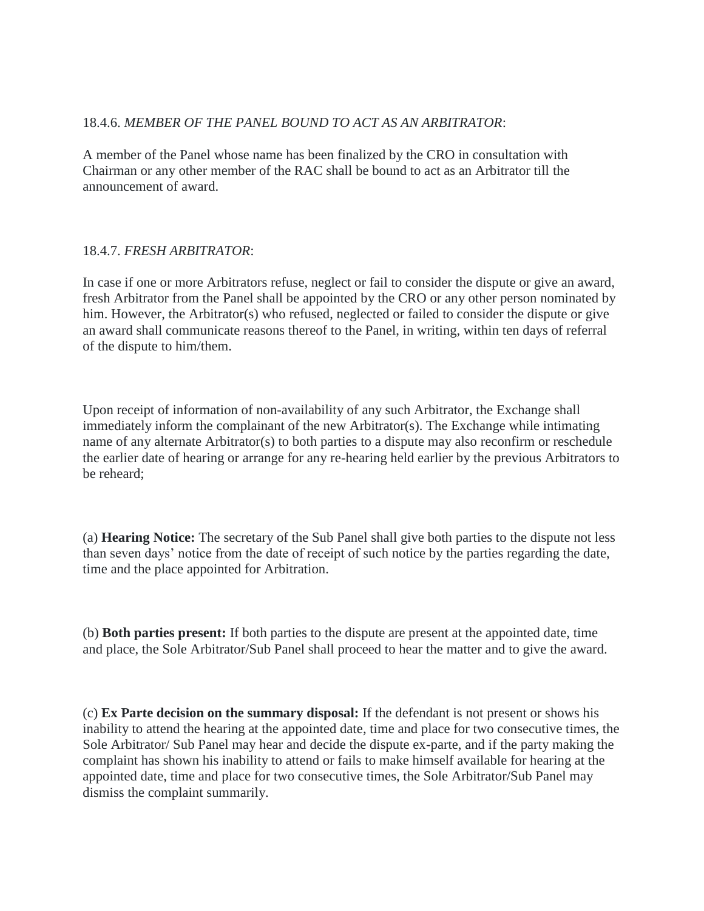#### 18.4.6. *MEMBER OF THE PANEL BOUND TO ACT AS AN ARBITRATOR*:

A member of the Panel whose name has been finalized by the CRO in consultation with Chairman or any other member of the RAC shall be bound to act as an Arbitrator till the announcement of award.

#### 18.4.7. *FRESH ARBITRATOR*:

In case if one or more Arbitrators refuse, neglect or fail to consider the dispute or give an award, fresh Arbitrator from the Panel shall be appointed by the CRO or any other person nominated by him. However, the Arbitrator(s) who refused, neglected or failed to consider the dispute or give an award shall communicate reasons thereof to the Panel, in writing, within ten days of referral of the dispute to him/them.

Upon receipt of information of non-availability of any such Arbitrator, the Exchange shall immediately inform the complainant of the new Arbitrator(s). The Exchange while intimating name of any alternate Arbitrator(s) to both parties to a dispute may also reconfirm or reschedule the earlier date of hearing or arrange for any re-hearing held earlier by the previous Arbitrators to be reheard;

(a) **Hearing Notice:** The secretary of the Sub Panel shall give both parties to the dispute not less than seven days' notice from the date of receipt of such notice by the parties regarding the date, time and the place appointed for Arbitration.

(b) **Both parties present:** If both parties to the dispute are present at the appointed date, time and place, the Sole Arbitrator/Sub Panel shall proceed to hear the matter and to give the award.

(c) **Ex Parte decision on the summary disposal:** If the defendant is not present or shows his inability to attend the hearing at the appointed date, time and place for two consecutive times, the Sole Arbitrator/ Sub Panel may hear and decide the dispute ex-parte, and if the party making the complaint has shown his inability to attend or fails to make himself available for hearing at the appointed date, time and place for two consecutive times, the Sole Arbitrator/Sub Panel may dismiss the complaint summarily.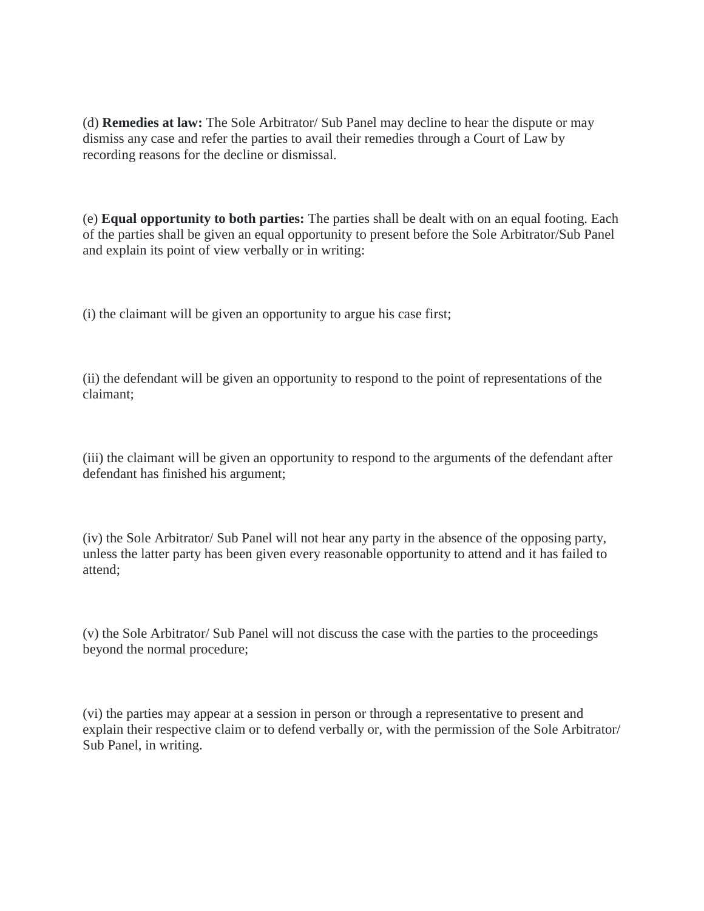(d) **Remedies at law:** The Sole Arbitrator/ Sub Panel may decline to hear the dispute or may dismiss any case and refer the parties to avail their remedies through a Court of Law by recording reasons for the decline or dismissal.

(e) **Equal opportunity to both parties:** The parties shall be dealt with on an equal footing. Each of the parties shall be given an equal opportunity to present before the Sole Arbitrator/Sub Panel and explain its point of view verbally or in writing:

(i) the claimant will be given an opportunity to argue his case first;

(ii) the defendant will be given an opportunity to respond to the point of representations of the claimant;

(iii) the claimant will be given an opportunity to respond to the arguments of the defendant after defendant has finished his argument;

(iv) the Sole Arbitrator/ Sub Panel will not hear any party in the absence of the opposing party, unless the latter party has been given every reasonable opportunity to attend and it has failed to attend;

(v) the Sole Arbitrator/ Sub Panel will not discuss the case with the parties to the proceedings beyond the normal procedure;

(vi) the parties may appear at a session in person or through a representative to present and explain their respective claim or to defend verbally or, with the permission of the Sole Arbitrator/ Sub Panel, in writing.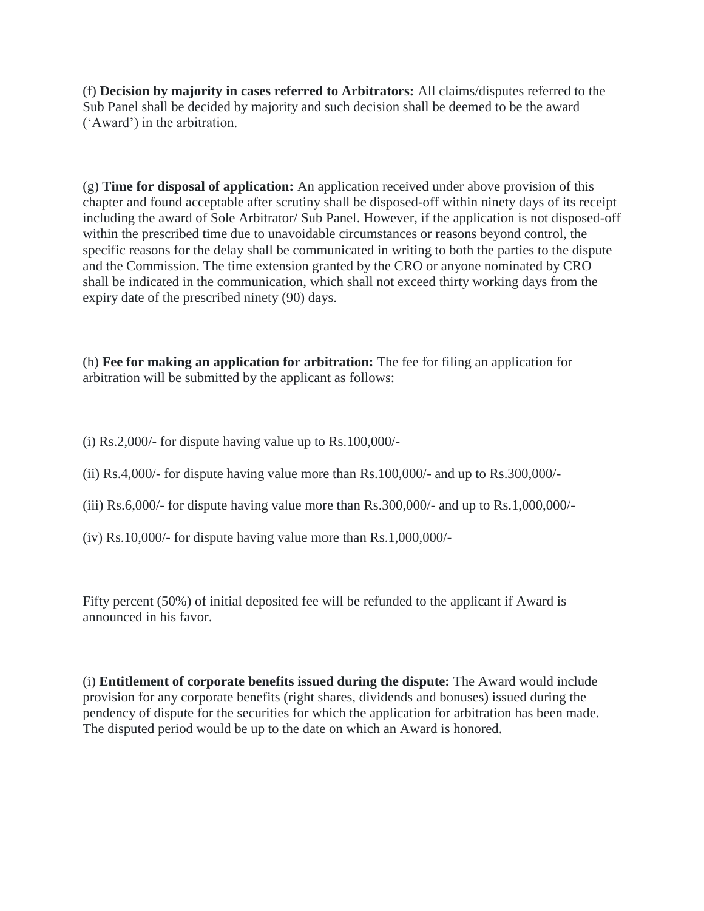(f) **Decision by majority in cases referred to Arbitrators:** All claims/disputes referred to the Sub Panel shall be decided by majority and such decision shall be deemed to be the award ('Award') in the arbitration.

(g) **Time for disposal of application:** An application received under above provision of this chapter and found acceptable after scrutiny shall be disposed-off within ninety days of its receipt including the award of Sole Arbitrator/ Sub Panel. However, if the application is not disposed-off within the prescribed time due to unavoidable circumstances or reasons beyond control, the specific reasons for the delay shall be communicated in writing to both the parties to the dispute and the Commission. The time extension granted by the CRO or anyone nominated by CRO shall be indicated in the communication, which shall not exceed thirty working days from the expiry date of the prescribed ninety (90) days.

(h) **Fee for making an application for arbitration:** The fee for filing an application for arbitration will be submitted by the applicant as follows:

- (i) Rs.2,000/- for dispute having value up to Rs.100,000/-
- (ii) Rs.4,000/- for dispute having value more than Rs.100,000/- and up to Rs.300,000/-
- (iii) Rs.6,000/- for dispute having value more than Rs.300,000/- and up to Rs.1,000,000/-
- (iv) Rs.10,000/- for dispute having value more than Rs.1,000,000/-

Fifty percent (50%) of initial deposited fee will be refunded to the applicant if Award is announced in his favor.

(i) **Entitlement of corporate benefits issued during the dispute:** The Award would include provision for any corporate benefits (right shares, dividends and bonuses) issued during the pendency of dispute for the securities for which the application for arbitration has been made. The disputed period would be up to the date on which an Award is honored.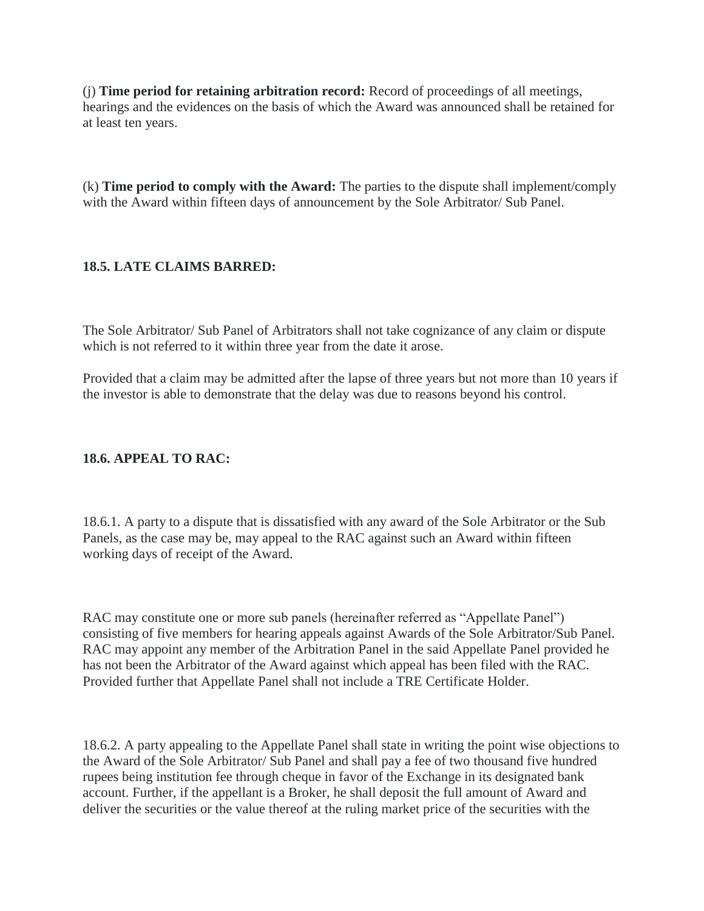(j) **Time period for retaining arbitration record:** Record of proceedings of all meetings, hearings and the evidences on the basis of which the Award was announced shall be retained for at least ten years.

(k) **Time period to comply with the Award:** The parties to the dispute shall implement/comply with the Award within fifteen days of announcement by the Sole Arbitrator/ Sub Panel.

# **18.5. LATE CLAIMS BARRED:**

The Sole Arbitrator/ Sub Panel of Arbitrators shall not take cognizance of any claim or dispute which is not referred to it within three year from the date it arose.

Provided that a claim may be admitted after the lapse of three years but not more than 10 years if the investor is able to demonstrate that the delay was due to reasons beyond his control.

# **18.6. APPEAL TO RAC:**

18.6.1. A party to a dispute that is dissatisfied with any award of the Sole Arbitrator or the Sub Panels, as the case may be, may appeal to the RAC against such an Award within fifteen working days of receipt of the Award.

RAC may constitute one or more sub panels (hereinafter referred as "Appellate Panel") consisting of five members for hearing appeals against Awards of the Sole Arbitrator/Sub Panel. RAC may appoint any member of the Arbitration Panel in the said Appellate Panel provided he has not been the Arbitrator of the Award against which appeal has been filed with the RAC. Provided further that Appellate Panel shall not include a TRE Certificate Holder.

18.6.2. A party appealing to the Appellate Panel shall state in writing the point wise objections to the Award of the Sole Arbitrator/ Sub Panel and shall pay a fee of two thousand five hundred rupees being institution fee through cheque in favor of the Exchange in its designated bank account. Further, if the appellant is a Broker, he shall deposit the full amount of Award and deliver the securities or the value thereof at the ruling market price of the securities with the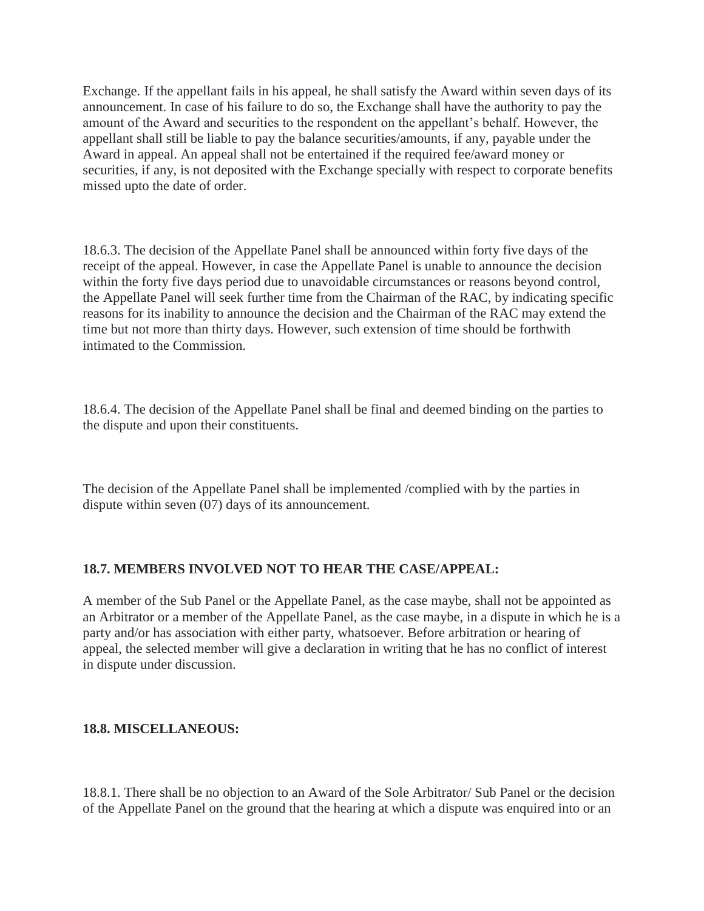Exchange. If the appellant fails in his appeal, he shall satisfy the Award within seven days of its announcement. In case of his failure to do so, the Exchange shall have the authority to pay the amount of the Award and securities to the respondent on the appellant's behalf. However, the appellant shall still be liable to pay the balance securities/amounts, if any, payable under the Award in appeal. An appeal shall not be entertained if the required fee/award money or securities, if any, is not deposited with the Exchange specially with respect to corporate benefits missed upto the date of order.

18.6.3. The decision of the Appellate Panel shall be announced within forty five days of the receipt of the appeal. However, in case the Appellate Panel is unable to announce the decision within the forty five days period due to unavoidable circumstances or reasons beyond control, the Appellate Panel will seek further time from the Chairman of the RAC, by indicating specific reasons for its inability to announce the decision and the Chairman of the RAC may extend the time but not more than thirty days. However, such extension of time should be forthwith intimated to the Commission.

18.6.4. The decision of the Appellate Panel shall be final and deemed binding on the parties to the dispute and upon their constituents.

The decision of the Appellate Panel shall be implemented /complied with by the parties in dispute within seven (07) days of its announcement.

# **18.7. MEMBERS INVOLVED NOT TO HEAR THE CASE/APPEAL:**

A member of the Sub Panel or the Appellate Panel, as the case maybe, shall not be appointed as an Arbitrator or a member of the Appellate Panel, as the case maybe, in a dispute in which he is a party and/or has association with either party, whatsoever. Before arbitration or hearing of appeal, the selected member will give a declaration in writing that he has no conflict of interest in dispute under discussion.

#### **18.8. MISCELLANEOUS:**

18.8.1. There shall be no objection to an Award of the Sole Arbitrator/ Sub Panel or the decision of the Appellate Panel on the ground that the hearing at which a dispute was enquired into or an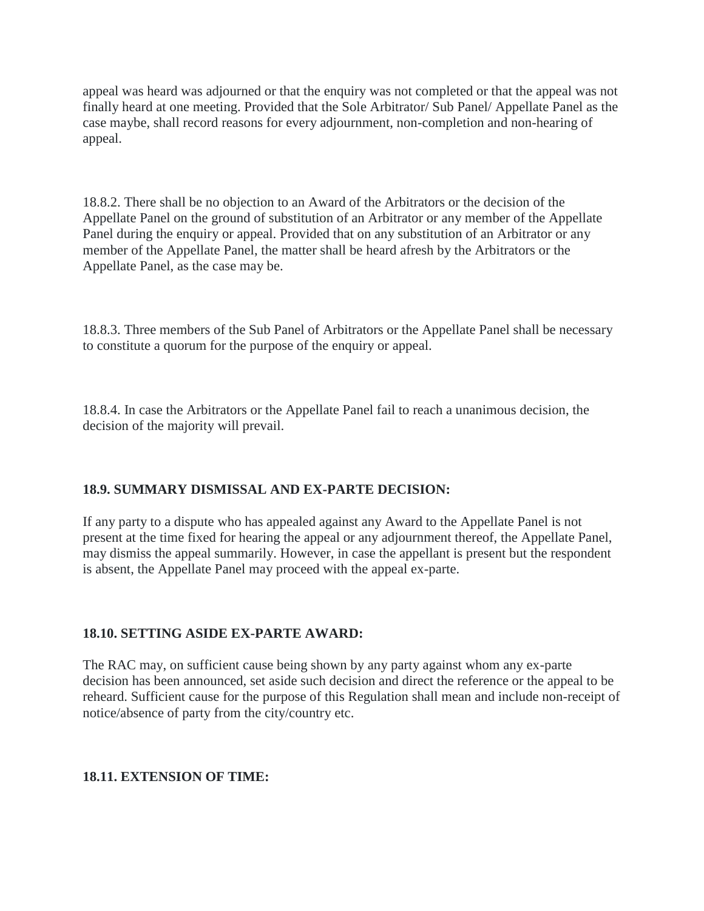appeal was heard was adjourned or that the enquiry was not completed or that the appeal was not finally heard at one meeting. Provided that the Sole Arbitrator/ Sub Panel/ Appellate Panel as the case maybe, shall record reasons for every adjournment, non-completion and non-hearing of appeal.

18.8.2. There shall be no objection to an Award of the Arbitrators or the decision of the Appellate Panel on the ground of substitution of an Arbitrator or any member of the Appellate Panel during the enquiry or appeal. Provided that on any substitution of an Arbitrator or any member of the Appellate Panel, the matter shall be heard afresh by the Arbitrators or the Appellate Panel, as the case may be.

18.8.3. Three members of the Sub Panel of Arbitrators or the Appellate Panel shall be necessary to constitute a quorum for the purpose of the enquiry or appeal.

18.8.4. In case the Arbitrators or the Appellate Panel fail to reach a unanimous decision, the decision of the majority will prevail.

# **18.9. SUMMARY DISMISSAL AND EX-PARTE DECISION:**

If any party to a dispute who has appealed against any Award to the Appellate Panel is not present at the time fixed for hearing the appeal or any adjournment thereof, the Appellate Panel, may dismiss the appeal summarily. However, in case the appellant is present but the respondent is absent, the Appellate Panel may proceed with the appeal ex-parte.

# **18.10. SETTING ASIDE EX-PARTE AWARD:**

The RAC may, on sufficient cause being shown by any party against whom any ex-parte decision has been announced, set aside such decision and direct the reference or the appeal to be reheard. Sufficient cause for the purpose of this Regulation shall mean and include non-receipt of notice/absence of party from the city/country etc.

#### **18.11. EXTENSION OF TIME:**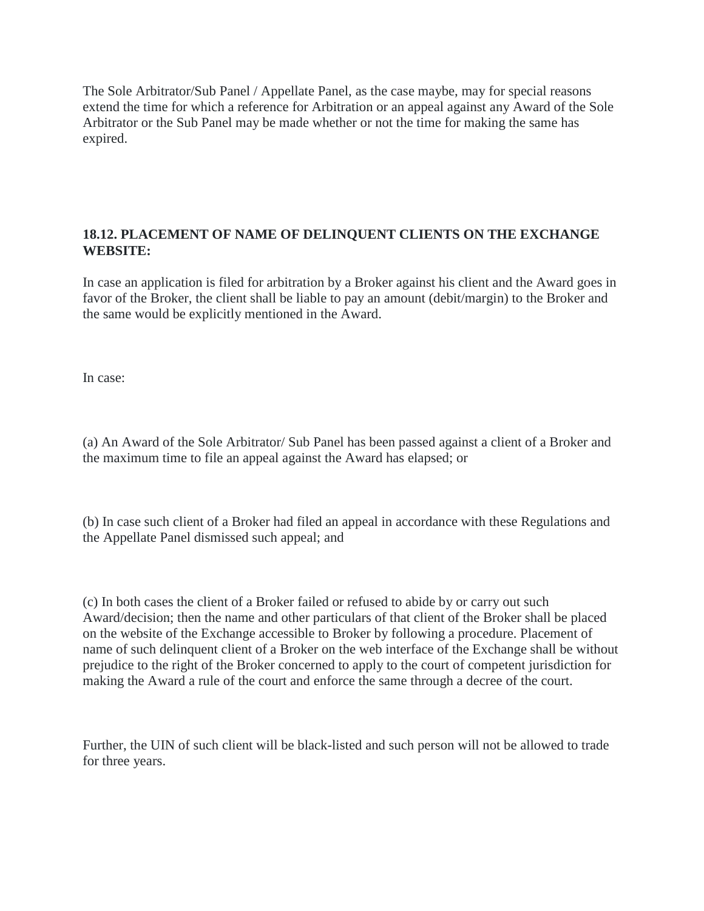The Sole Arbitrator/Sub Panel / Appellate Panel, as the case maybe, may for special reasons extend the time for which a reference for Arbitration or an appeal against any Award of the Sole Arbitrator or the Sub Panel may be made whether or not the time for making the same has expired.

### **18.12. PLACEMENT OF NAME OF DELINQUENT CLIENTS ON THE EXCHANGE WEBSITE:**

In case an application is filed for arbitration by a Broker against his client and the Award goes in favor of the Broker, the client shall be liable to pay an amount (debit/margin) to the Broker and the same would be explicitly mentioned in the Award.

In case:

(a) An Award of the Sole Arbitrator/ Sub Panel has been passed against a client of a Broker and the maximum time to file an appeal against the Award has elapsed; or

(b) In case such client of a Broker had filed an appeal in accordance with these Regulations and the Appellate Panel dismissed such appeal; and

(c) In both cases the client of a Broker failed or refused to abide by or carry out such Award/decision; then the name and other particulars of that client of the Broker shall be placed on the website of the Exchange accessible to Broker by following a procedure. Placement of name of such delinquent client of a Broker on the web interface of the Exchange shall be without prejudice to the right of the Broker concerned to apply to the court of competent jurisdiction for making the Award a rule of the court and enforce the same through a decree of the court.

Further, the UIN of such client will be black-listed and such person will not be allowed to trade for three years.